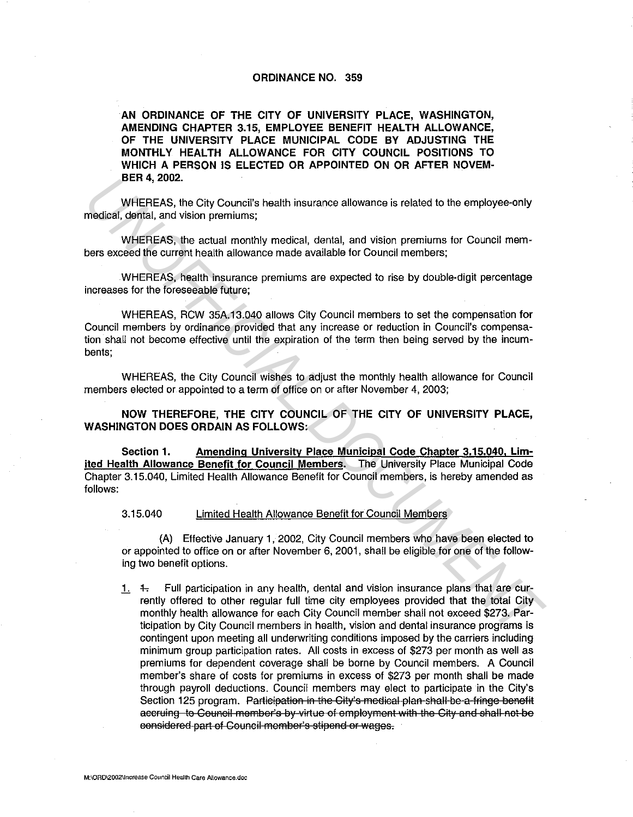## **ORDINANCE NO. 359**

**AN ORDINANCE OF THE CITY OF UNIVERSITY PLACE, WASHINGTON, AMENDING CHAPTER 3.15, EMPLOYEE BENEFIT HEALTH ALLOWANCE, OF THE UNIVERSITY PLACE MUNICIPAL CODE BY ADJUSTING THE MONTHLY HEALTH ALLOWANCE FOR CITY COUNCIL POSITIONS TO WHICH A PERSON IS ELECTED OR APPOINTED ON OR AFTER NOVEM· BER4, 2002.** 

WHEREAS, the City Council's health insurance allowance is related to the employee-only medical, dental, and vision premiums;

WHEREAS, the actual monthly medical, dental, and vision premiums for Council members exceed the current health allowance made available for Council members;

WHEREAS, health insurance premiums are expected to rise by double-digit percentage increases for the foreseeable future;

WHEREAS, RCW 35A.13.040 allows City Council members to set the compensation for Council members by ordinance provided that any increase or reduction in Council's compensation shall not become effective until the expiration of the term then being served by the incumbents;

WHEREAS, the City Council wishes to adjust the monthly health allowance for Council members elected or appointed to a term of office on or after November 4, 2003;

**NOW THEREFORE, THE CITY COUNCIL OF THE CITY OF UNIVERSITY PLACE, WASHINGTON DOES ORDAIN AS FOLLOWS:** 

**Section 1. Amending University Place Municipal Code Chapter 3.15.040. Limited Health Allowance Benefit for Council Members.** The University Place Municipal Code Chapter 3.15.040, Limited Health Allowance Benefit for Council members, is hereby amended as follows:

3.15.040 Limited Health Allowance Benefit for Council Members

(A) Effective January 1, 2002, City Council members who have been elected to or appointed to office on or after November 6, 2001, shall be eligible for one of the following two benefit options.

1.  $+$  Full participation in any health, dental and vision insurance plans that are currently offered to other regular full time city employees provided that the total City monthly health allowance for each City Council member shall not exceed \$273. Participation by City Council members in health, vision and dental insurance programs is contingent upon meeting all underwriting conditions imposed by the carriers including minimum group participation rates. All costs in excess of \$273 per month as well as premiums for dependent coverage shall be borne by Council members. A Council member's share of costs for premiums in excess of \$273 per month shall be made through payroll deductions. Council members may elect to participate in the City's Section 125 program. Participation in the City's medical plan shall be a fringe benefit accruing to Council member's by virtue of employment with the City and shall not be eonsidered part of Council member's stipend or wages. **UNHEREAS**, the City Council's health insurance allowance is related to the employee-only<br>
WHEREAS, the actual monthly medical, dental, and vision premiums;<br>
WHEREAS, the actual monthly medical, chental, and vision premium